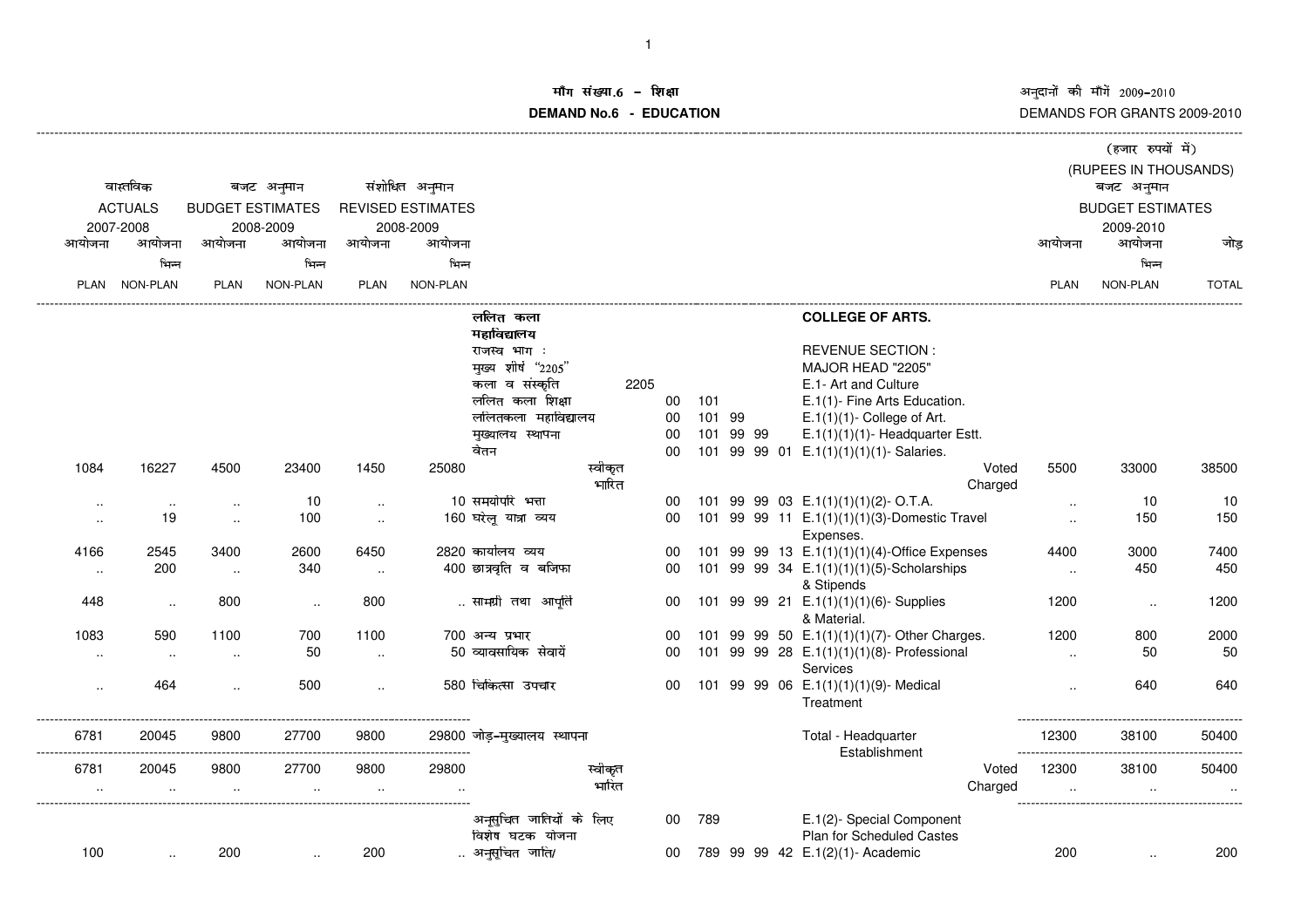अनुदानों की माँगें 2009–2010<br>DEMANDS FOR GRANTS 2009-2010

## iंग संख्या.6 -<br>'' **DEMAND No.6 - EDUCATIONराक्षा संस्कृतिका संस्कृतिका संस्कृतिका संस्कृतिका संस्कृतिका संस्कृतिका संस्कृतिका संस्कृतिका संस्कृतिका संस्**

|                                         |           |                         |                      |             |                          |                             |                  |                       |     |           |  |                                                           | (हजार रुपयों में)    |                         |              |  |  |  |
|-----------------------------------------|-----------|-------------------------|----------------------|-------------|--------------------------|-----------------------------|------------------|-----------------------|-----|-----------|--|-----------------------------------------------------------|----------------------|-------------------------|--------------|--|--|--|
|                                         |           |                         |                      |             |                          |                             |                  | (RUPEES IN THOUSANDS) |     |           |  |                                                           |                      |                         |              |  |  |  |
| वास्तविक<br><b>ACTUALS</b><br>2007-2008 |           | बजट अनुमान              |                      |             | संशोधित अनुमान           |                             |                  |                       |     |           |  |                                                           |                      |                         |              |  |  |  |
|                                         |           | <b>BUDGET ESTIMATES</b> |                      |             | <b>REVISED ESTIMATES</b> |                             |                  |                       |     |           |  |                                                           |                      | <b>BUDGET ESTIMATES</b> |              |  |  |  |
|                                         |           |                         | 2008-2009            |             | 2008-2009                |                             |                  |                       |     |           |  |                                                           |                      | 2009-2010               |              |  |  |  |
| आयोजना                                  | आयोजना    | आयोजना                  | आयोजना               | आयोजना      | आयोजना                   |                             |                  |                       |     |           |  |                                                           | आयोजना               | आयोजना                  | जोड          |  |  |  |
|                                         | भिन्न     |                         | भिन्न                |             | भिन्न                    |                             |                  |                       |     |           |  |                                                           |                      | भिन्न                   |              |  |  |  |
| <b>PLAN</b>                             | NON-PLAN  | <b>PLAN</b>             | NON-PLAN             | <b>PLAN</b> | NON-PLAN                 |                             |                  |                       |     |           |  |                                                           | <b>PLAN</b>          | NON-PLAN                | <b>TOTAL</b> |  |  |  |
|                                         |           |                         |                      |             |                          | ललित कला                    |                  |                       |     |           |  | <b>COLLEGE OF ARTS.</b>                                   |                      |                         |              |  |  |  |
|                                         |           |                         |                      |             |                          | महाविद्यालय                 |                  |                       |     |           |  |                                                           |                      |                         |              |  |  |  |
|                                         |           |                         |                      |             |                          | राजस्व भाग:                 |                  |                       |     |           |  | <b>REVENUE SECTION:</b>                                   |                      |                         |              |  |  |  |
|                                         |           |                         |                      |             |                          | मुख्य शीर्ष "2205"          |                  |                       |     |           |  | MAJOR HEAD "2205"                                         |                      |                         |              |  |  |  |
|                                         |           |                         |                      |             |                          | कला व संस्कृति              |                  | 2205                  |     |           |  | E.1- Art and Culture                                      |                      |                         |              |  |  |  |
|                                         |           |                         |                      |             |                          | ललित कला शिक्षा             |                  | 00                    | 101 |           |  | E.1(1)- Fine Arts Education.                              |                      |                         |              |  |  |  |
|                                         |           |                         |                      |             |                          | ललितकला महाविद्यालय         |                  | 00                    |     | 101 99    |  | $E.1(1)(1)$ - College of Art.                             |                      |                         |              |  |  |  |
|                                         |           |                         |                      |             |                          | मुख्यालय स्थापना            |                  | 00                    |     | 101 99 99 |  | $E.1(1)(1)(1)$ - Headquarter Estt.                        |                      |                         |              |  |  |  |
|                                         |           |                         |                      |             |                          | वेतन                        |                  | 00                    |     |           |  | 101 99 99 01 E.1(1)(1)(1)(1)- Salaries.                   |                      |                         |              |  |  |  |
| 1084                                    | 16227     | 4500                    | 23400                | 1450        | 25080                    |                             | स्वीकृत<br>भारित |                       |     |           |  | Voted<br>Charged                                          | 5500                 | 33000                   | 38500        |  |  |  |
| $\ddot{\phantom{a}}$                    | $\ddotsc$ |                         | 10                   | $\ddotsc$   |                          | 10 समयोपरि भत्ता            |                  | 00                    |     |           |  | 101 99 99 03 E.1(1)(1)(1)(2)-O.T.A.                       | $\ddotsc$            | 10                      | 10           |  |  |  |
| $\cdot$ .                               | 19        | $\sim$                  | 100                  | $\ldots$    |                          | 160 घरेलू यात्रा व्यय       |                  | 00                    |     |           |  | 101 99 99 11 E.1(1)(1)(1)(3)-Domestic Travel<br>Expenses. | $\ddot{\phantom{a}}$ | 150                     | 150          |  |  |  |
| 4166                                    | 2545      | 3400                    | 2600                 | 6450        |                          | 2820 कार्यालय व्यय          |                  | 00                    |     |           |  | 101 99 99 13 E.1(1)(1)(1)(4)-Office Expenses              | 4400                 | 3000                    | 7400         |  |  |  |
| $\ldots$                                | 200       | $\ldots$                | 340                  | $\cdot$ .   |                          | 400 छात्रवृति व बजिफा       |                  | 00                    |     |           |  | 101 99 99 34 E.1(1)(1)(1)(5)-Scholarships                 | $\ddotsc$            | 450                     | 450          |  |  |  |
|                                         |           |                         |                      |             |                          |                             |                  |                       |     |           |  | & Stipends                                                |                      |                         |              |  |  |  |
| 448                                     | $\ldots$  | 800                     | $\ddot{\phantom{a}}$ | 800         |                          | सामग्री तथा आपूर्ति         |                  | 00                    |     |           |  | 101 99 99 21 E.1(1)(1)(1)(6)-Supplies                     | 1200                 | $\ldots$                | 1200         |  |  |  |
|                                         |           |                         |                      |             |                          |                             |                  |                       |     |           |  | & Material.                                               |                      |                         |              |  |  |  |
| 1083                                    | 590       | 1100                    | 700                  | 1100        |                          | 700 अन्य प्रभार             |                  | 00                    |     |           |  | 101 99 99 50 E.1(1)(1)(1)(7)- Other Charges.              | 1200                 | 800                     | 2000         |  |  |  |
| $\ddot{\phantom{a}}$                    | $\ldots$  | $\ddot{\phantom{a}}$    | 50                   |             |                          | 50 व्यावसायिक सेवायें       |                  | 00                    |     |           |  | 101 99 99 28 E.1(1)(1)(1)(8)- Professional                | $\ddot{\phantom{a}}$ | 50                      | 50           |  |  |  |
|                                         | 464       |                         | 500                  |             |                          | 580 चिकित्सा उपचार          |                  |                       |     |           |  | Services                                                  |                      | 640                     | 640          |  |  |  |
|                                         |           |                         |                      |             |                          |                             |                  | 00                    |     |           |  | 101 99 99 06 E.1(1)(1)(1)(9)- Medical<br>Treatment        |                      |                         |              |  |  |  |
| 6781                                    | 20045     | 9800                    | 27700                | 9800        |                          | 29800 जोड़–मुख्यालय स्थापना |                  |                       |     |           |  | Total - Headquarter                                       | 12300                | 38100                   | 50400        |  |  |  |
|                                         |           |                         |                      |             |                          |                             |                  |                       |     |           |  | Establishment                                             |                      |                         |              |  |  |  |
| 6781                                    | 20045     | 9800                    | 27700                | 9800        | 29800                    |                             | स्वीकृत          |                       |     |           |  | Voted                                                     | 12300                | 38100                   | 50400        |  |  |  |
|                                         |           |                         |                      |             |                          |                             | भारित            |                       |     |           |  | Charged                                                   |                      |                         |              |  |  |  |
|                                         |           |                         |                      |             |                          | अनूसुचित जातियों के लिए     |                  | 00                    | 789 |           |  | E.1(2)- Special Component                                 |                      |                         |              |  |  |  |
|                                         |           |                         |                      |             |                          | विशेष घटक योजना             |                  |                       |     |           |  | <b>Plan for Scheduled Castes</b>                          |                      |                         |              |  |  |  |
| 100                                     |           | 200                     |                      | 200         |                          | अनुसूचित जाति/              |                  | 00                    |     |           |  | 789 99 99 42 E.1(2)(1)- Academic                          | 200                  |                         | 200          |  |  |  |
|                                         |           |                         |                      |             |                          |                             |                  |                       |     |           |  |                                                           |                      |                         |              |  |  |  |

-------------------------------------------------------------------------------------------------------------------------------------------------------------------------------------------------------------------------------------------------------------------------------------